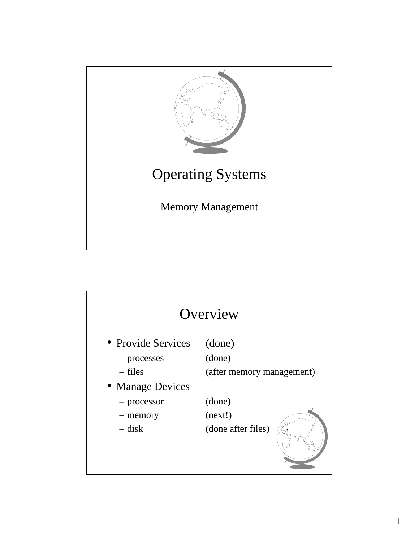

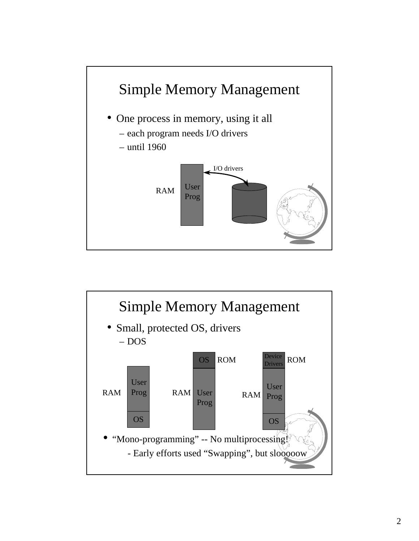

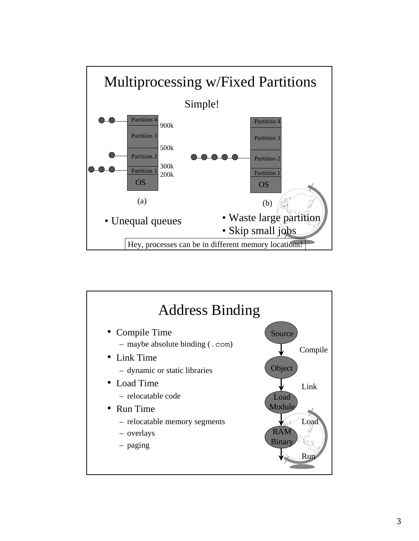

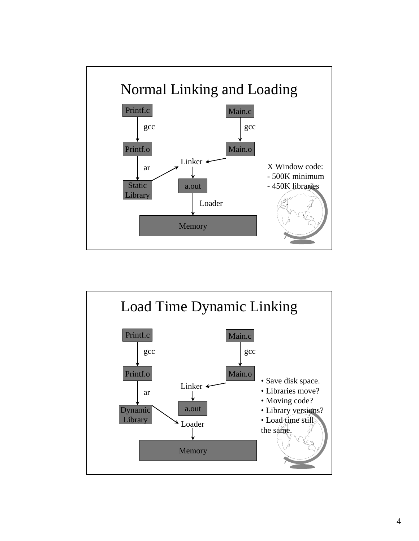

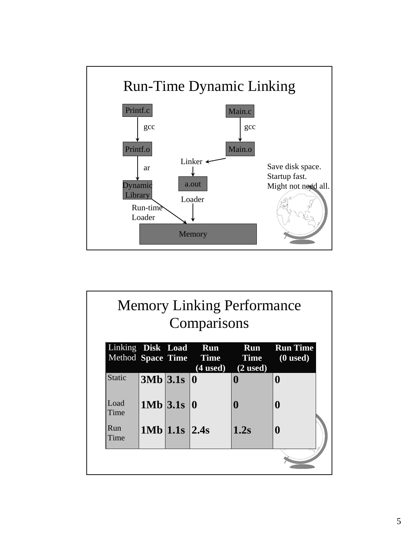

| <b>Memory Linking Performance</b><br>Comparisons |            |                   |                                      |                                       |                               |
|--------------------------------------------------|------------|-------------------|--------------------------------------|---------------------------------------|-------------------------------|
| Linking Disk Load<br>Method Space Time           |            |                   | Run<br>$\overline{(4 \text{ used})}$ | Run<br><b>Time Time</b><br>$(2$ used) | <b>Run Time</b><br>$(0$ used) |
| <b>Static</b>                                    | 3Mb 3.1s 0 |                   |                                      | 0                                     | $\bf{0}$                      |
| Load<br>Time                                     |            | $1Mb$ 3.1s   0    |                                      | 0                                     | $\mathbf{0}$                  |
| Run<br>Time                                      |            | $1Mb$ 1.1s $2.4s$ |                                      | 1.2s                                  | $\mathbf 0$                   |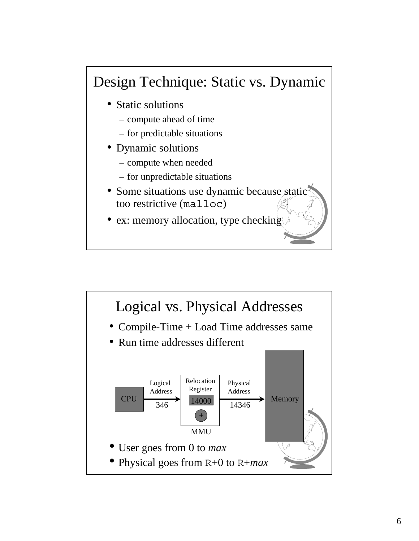## Design Technique: Static vs. Dynamic

- Static solutions
	- compute ahead of time
	- for predictable situations
- Dynamic solutions
	- compute when needed
	- for unpredictable situations
- Some situations use dynamic because stations too restrictive (malloc)
- ex: memory allocation, type checking

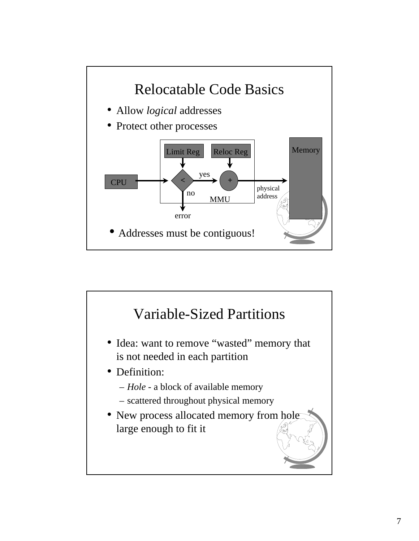

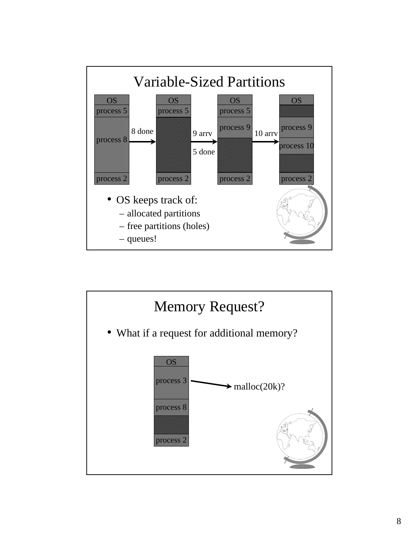

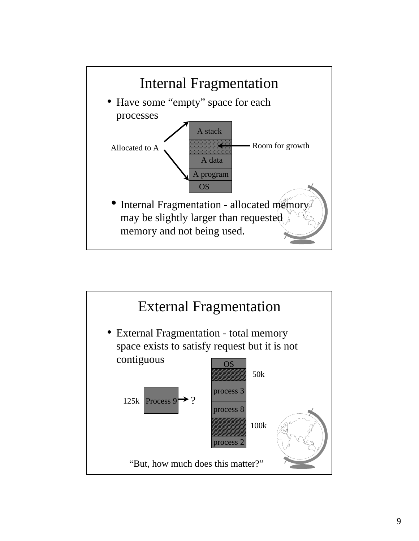

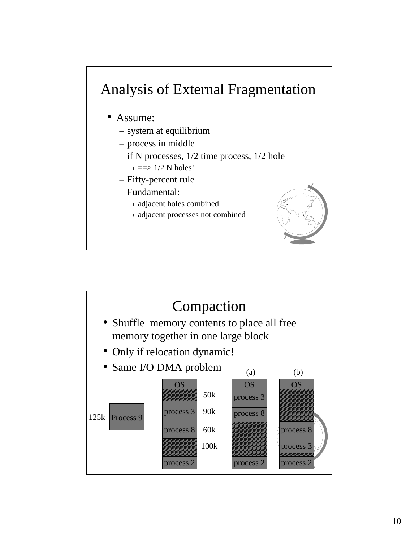## Analysis of External Fragmentation

## • Assume:

- system at equilibrium
- process in middle
- if N processes, 1/2 time process, 1/2 hole  $+ ==$  1/2 N holes!
- Fifty-percent rule
- Fundamental:
	- + adjacent holes combined
	- + adjacent processes not combined



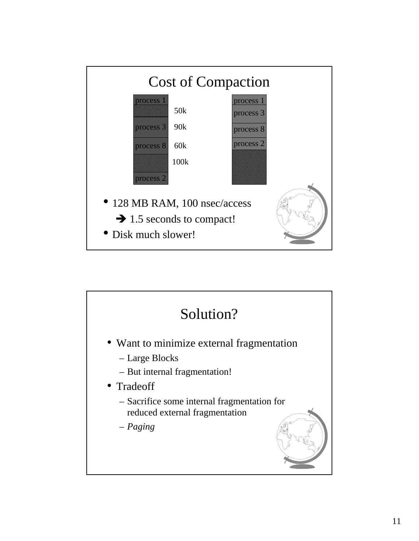

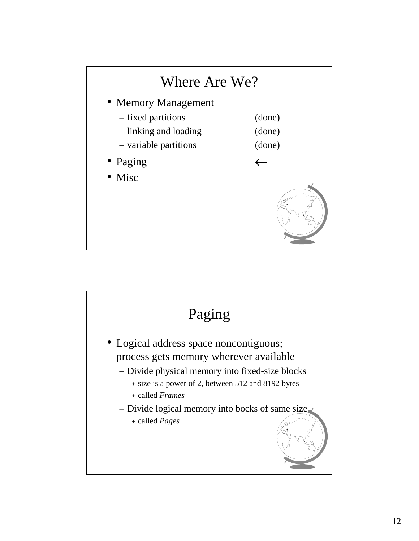

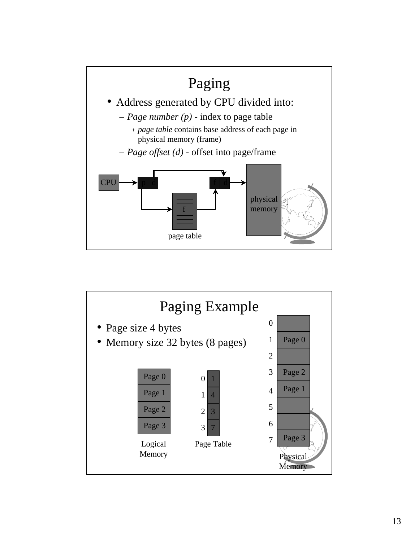

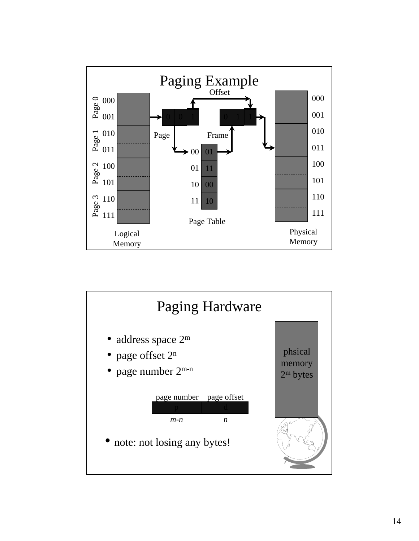

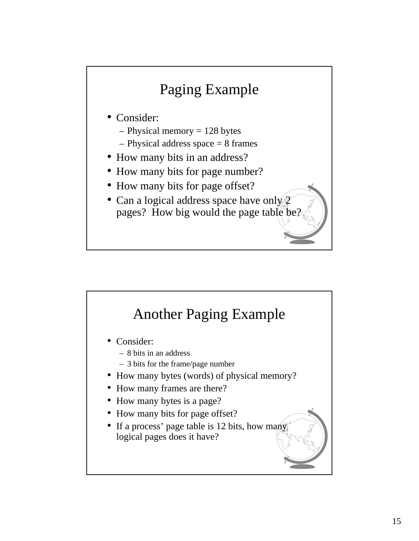

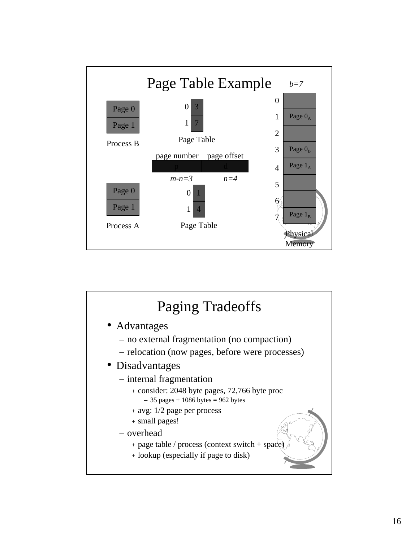

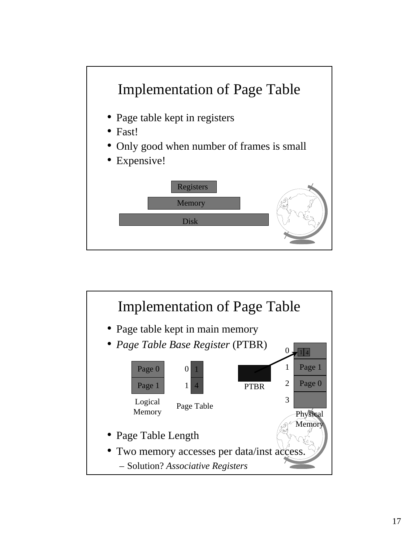

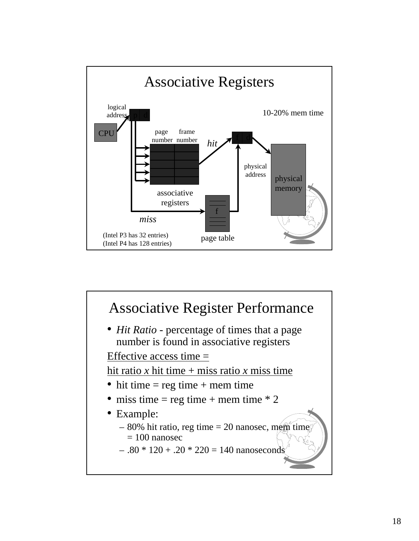

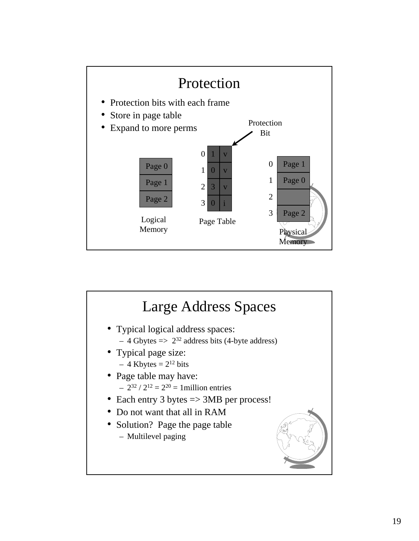

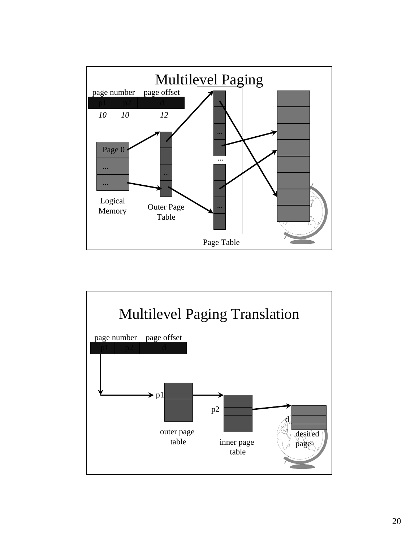

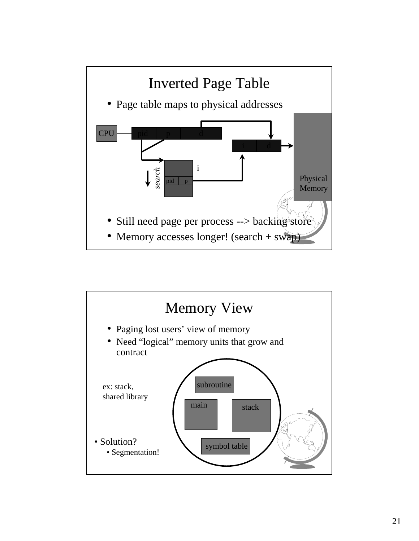

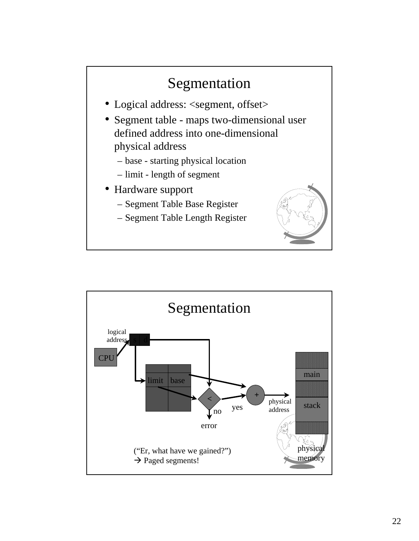

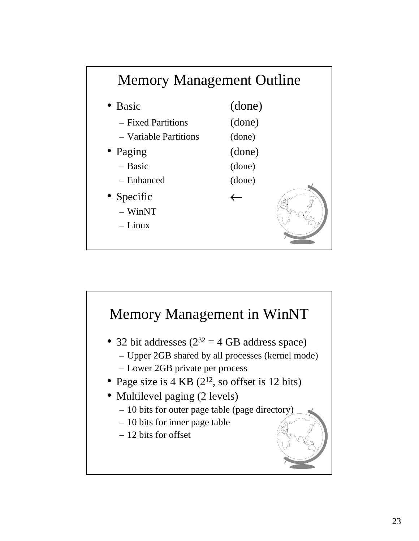